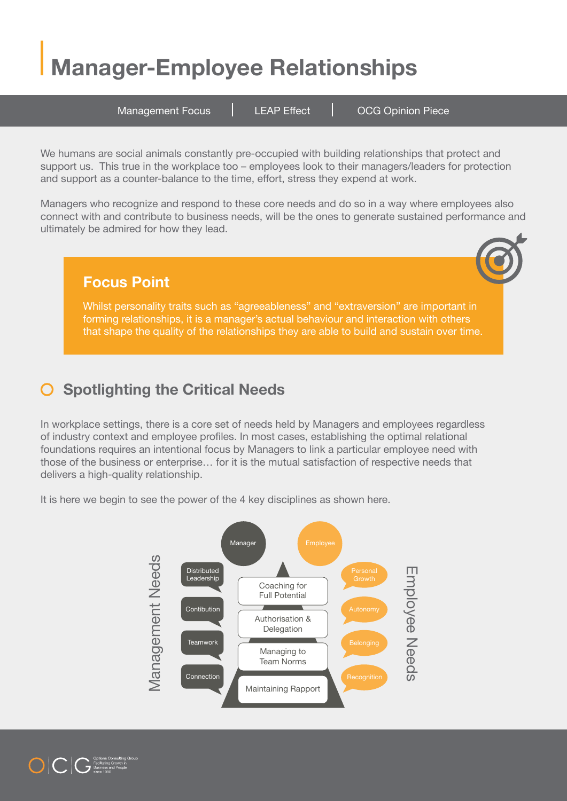## **Manager-Employee Relationships**

Management Focus | LEAP Effect | OCG Opinion Piece

We humans are social animals constantly pre-occupied with building relationships that protect and support us. This true in the workplace too – employees look to their managers/leaders for protection and support as a counter-balance to the time, effort, stress they expend at work.

Managers who recognize and respond to these core needs and do so in a way where employees also connect with and contribute to business needs, will be the ones to generate sustained performance and ultimately be admired for how they lead.

### **Focus Point**

Whilst personality traits such as "agreeableness" and "extraversion" are important in forming relationships, it is a manager's actual behaviour and interaction with others that shape the quality of the relationships they are able to build and sustain over time.

#### **Spotlighting the Critical Needs**  $\bigcirc$

In workplace settings, there is a core set of needs held by Managers and employees regardless of industry context and employee profiles. In most cases, establishing the optimal relational foundations requires an intentional focus by Managers to link a particular employee need with those of the business or enterprise… for it is the mutual satisfaction of respective needs that delivers a high-quality relationship.

It is here we begin to see the power of the 4 key disciplines as shown here.